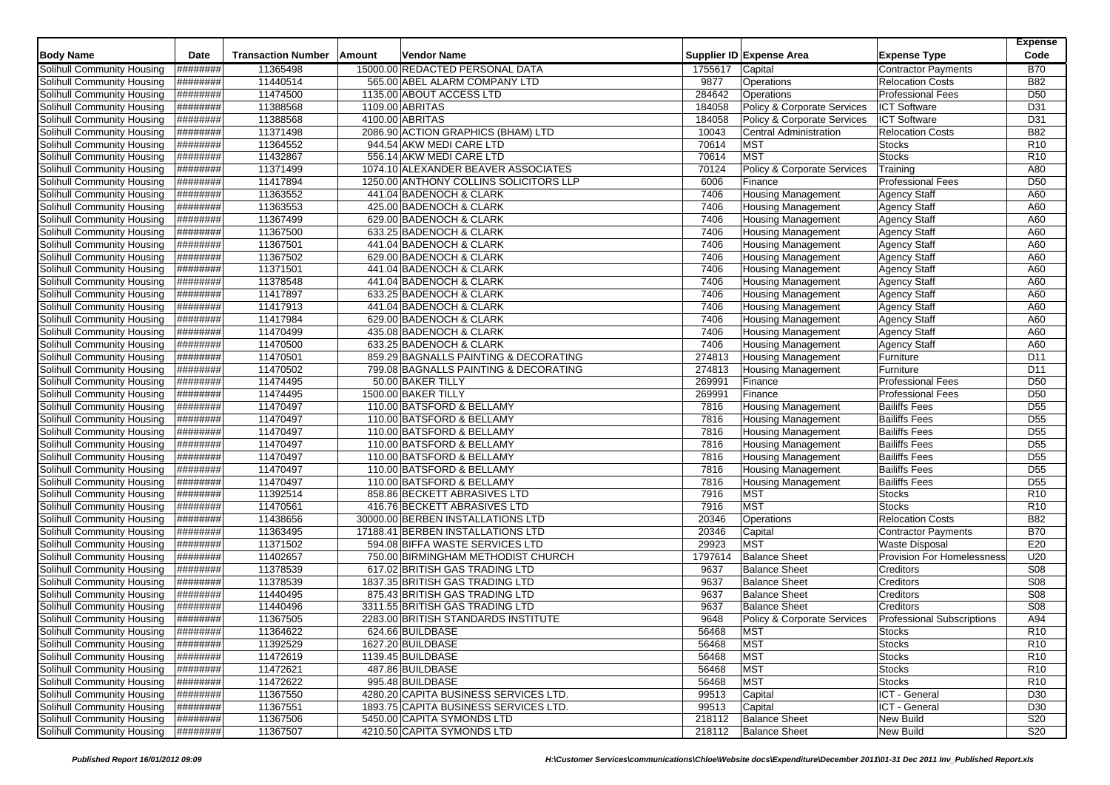|                                   |                  |                           |        |                                        |         |                                        |                                   | <b>Expense</b>  |
|-----------------------------------|------------------|---------------------------|--------|----------------------------------------|---------|----------------------------------------|-----------------------------------|-----------------|
| <b>Body Name</b>                  | Date             | <b>Transaction Number</b> | Amount | Vendor Name                            |         | Supplier ID Expense Area               | <b>Expense Type</b>               | Code            |
| Solihull Community Housing        | ########         | 11365498                  |        | 15000.00 REDACTED PERSONAL DATA        | 1755617 | Capital                                | <b>Contractor Payments</b>        | <b>B70</b>      |
| Solihull Community Housing        | ########         | 11440514                  |        | 565.00 ABEL ALARM COMPANY LTD          | 9877    | Operations                             | <b>Relocation Costs</b>           | <b>B82</b>      |
| Solihull Community Housing        | ########         | 11474500                  |        | 1135.00 ABOUT ACCESS LTD               | 284642  | Operations                             | <b>Professional Fees</b>          | D <sub>50</sub> |
| Solihull Community Housing        | ########         | 11388568                  |        | 1109.00 ABRITAS                        | 184058  | Policy & Corporate Services            | <b>ICT Software</b>               | D31             |
| Solihull Community Housing        | <b>H#######</b>  | 11388568                  |        | 4100.00 ABRITAS                        | 184058  | Policy & Corporate Services            | <b>ICT Software</b>               | D31             |
| Solihull Community Housing        | ########         | 11371498                  |        | 2086.90 ACTION GRAPHICS (BHAM) LTD     | 10043   | <b>Central Administration</b>          | <b>Relocation Costs</b>           | <b>B82</b>      |
| Solihull Community Housing        | ########         | 11364552                  |        | 944.54 AKW MEDI CARE LTD               | 70614   | <b>MST</b>                             | <b>Stocks</b>                     | R <sub>10</sub> |
| Solihull Community Housing        | ########         | 11432867                  |        | 556.14 AKW MEDI CARE LTD               | 70614   | <b>MST</b>                             | <b>Stocks</b>                     | R <sub>10</sub> |
| Solihull Community Housing        | <b>#########</b> | 11371499                  |        | 1074.10 ALEXANDER BEAVER ASSOCIATES    | 70124   | <b>Policy &amp; Corporate Services</b> | Training                          | A80             |
| Solihull Community Housing        | ########         | 11417894                  |        | 1250.00 ANTHONY COLLINS SOLICITORS LLP | 6006    | Finance                                | <b>Professional Fees</b>          | D <sub>50</sub> |
| Solihull Community Housing        | ########         | 11363552                  |        | 441.04 BADENOCH & CLARK                | 7406    | <b>Housing Management</b>              | <b>Agency Staff</b>               | A60             |
| Solihull Community Housing        | <b>H#######</b>  | 11363553                  |        | 425.00 BADENOCH & CLARK                | 7406    | <b>Housing Management</b>              | <b>Agency Staff</b>               | A60             |
| Solihull Community Housing        | ########         | 11367499                  |        | 629.00 BADENOCH & CLARK                | 7406    | <b>Housing Management</b>              | <b>Agency Staff</b>               | A60             |
| <b>Solihull Community Housing</b> | <b>H#######</b>  | 11367500                  |        | 633.25 BADENOCH & CLARK                | 7406    | <b>Housing Management</b>              | <b>Agency Staff</b>               | A60             |
| Solihull Community Housing        | ########         | 11367501                  |        | 441.04 BADENOCH & CLARK                | 7406    | <b>Housing Management</b>              | <b>Agency Staff</b>               | A60             |
| Solihull Community Housing        | ########         | 11367502                  |        | 629.00 BADENOCH & CLARK                | 7406    | <b>Housing Management</b>              | <b>Agency Staff</b>               | A60             |
| <b>Solihull Community Housing</b> | <b>#########</b> | 11371501                  |        | 441.04 BADENOCH & CLARK                | 7406    | Housing Management                     | <b>Agency Staff</b>               | A60             |
| Solihull Community Housing        | ########         | 11378548                  |        | 441.04 BADENOCH & CLARK                | 7406    | <b>Housing Management</b>              | Agency Staff                      | A60             |
| Solihull Community Housing        | ########         | 11417897                  |        | 633.25 BADENOCH & CLARK                | 7406    | <b>Housing Management</b>              | <b>Agency Staff</b>               | A60             |
| Solihull Community Housing        | ########         | 11417913                  |        | 441.04 BADENOCH & CLARK                | 7406    | <b>Housing Management</b>              | <b>Agency Staff</b>               | A60             |
| Solihull Community Housing        | ########         | 11417984                  |        | 629.00 BADENOCH & CLARK                | 7406    | <b>Housing Management</b>              | <b>Agency Staff</b>               | A60             |
| Solihull Community Housing        | ########         | 11470499                  |        | 435.08 BADENOCH & CLARK                | 7406    | Housing Management                     | <b>Agency Staff</b>               | A60             |
| Solihull Community Housing        | ########         | 11470500                  |        | 633.25 BADENOCH & CLARK                | 7406    | <b>Housing Management</b>              | <b>Agency Staff</b>               | A60             |
| Solihull Community Housing        | ########         | 11470501                  |        | 859.29 BAGNALLS PAINTING & DECORATING  | 274813  | <b>Housing Management</b>              | Furniture                         | D <sub>11</sub> |
| Solihull Community Housing        | ########         | 11470502                  |        | 799.08 BAGNALLS PAINTING & DECORATING  | 274813  | <b>Housing Management</b>              | Furniture                         | D <sub>11</sub> |
| Solihull Community Housing        | ########         | 11474495                  |        | 50.00 BAKER TILLY                      | 269991  | Finance                                | <b>Professional Fees</b>          | D <sub>50</sub> |
| Solihull Community Housing        | ########         | 11474495                  |        | 1500.00 BAKER TILLY                    | 269991  | Finance                                | <b>Professional Fees</b>          | D <sub>50</sub> |
| Solihull Community Housing        | ########         | 11470497                  |        | 110.00 BATSFORD & BELLAMY              | 7816    | <b>Housing Management</b>              | <b>Bailiffs Fees</b>              | D <sub>55</sub> |
| Solihull Community Housing        | ########         | 11470497                  |        | 110.00 BATSFORD & BELLAMY              | 7816    | <b>Housing Management</b>              | <b>Bailiffs Fees</b>              | D <sub>55</sub> |
| Solihull Community Housing        | ########         | 11470497                  |        | 110.00 BATSFORD & BELLAMY              | 7816    | <b>Housing Management</b>              | <b>Bailiffs Fees</b>              | D <sub>55</sub> |
| Solihull Community Housing        | ########         | 11470497                  |        | 110.00 BATSFORD & BELLAMY              | 7816    | Housing Management                     | <b>Bailiffs Fees</b>              | D <sub>55</sub> |
| Solihull Community Housing        | ########         | 11470497                  |        | 110.00 BATSFORD & BELLAMY              | 7816    | <b>Housing Management</b>              | <b>Bailiffs Fees</b>              | D <sub>55</sub> |
| Solihull Community Housing        | <b>H#######</b>  | 11470497                  |        | 110.00 BATSFORD & BELLAMY              | 7816    | <b>Housing Management</b>              | <b>Bailiffs Fees</b>              | D <sub>55</sub> |
| Solihull Community Housing        | ########         | 11470497                  |        | 110.00 BATSFORD & BELLAMY              | 7816    | <b>Housing Management</b>              | <b>Bailiffs Fees</b>              | D <sub>55</sub> |
| Solihull Community Housing        | <b>#########</b> | 11392514                  |        | 858.86 BECKETT ABRASIVES LTD           | 7916    | <b>MST</b>                             | <b>Stocks</b>                     | R <sub>10</sub> |
| Solihull Community Housing        | ########         | 11470561                  |        | 416.76 BECKETT ABRASIVES LTD           | 7916    | <b>MST</b>                             | <b>Stocks</b>                     | R <sub>10</sub> |
| Solihull Community Housing        | ########         | 11438656                  |        | 30000.00 BERBEN INSTALLATIONS LTD      | 20346   | Operations                             | <b>Relocation Costs</b>           | <b>B82</b>      |
| Solihull Community Housing        | <b>H#######</b>  | 11363495                  |        | 17188.41 BERBEN INSTALLATIONS LTD      | 20346   | Capital                                | <b>Contractor Payments</b>        | <b>B70</b>      |
| Solihull Community Housing        | ########         | 11371502                  |        | 594.08 BIFFA WASTE SERVICES LTD        | 29923   | <b>MST</b>                             | <b>Waste Disposal</b>             | E20             |
| Solihull Community Housing        | ########         | 11402657                  |        | 750.00 BIRMINGHAM METHODIST CHURCH     | 1797614 | <b>Balance Sheet</b>                   | <b>Provision For Homelessness</b> | U20             |
| Solihull Community Housing        | ########         | 11378539                  |        | 617.02 BRITISH GAS TRADING LTD         | 9637    | <b>Balance Sheet</b>                   | Creditors                         | <b>S08</b>      |
| Solihull Community Housing        | ########         | 11378539                  |        | 1837.35 BRITISH GAS TRADING LTD        | 9637    | <b>Balance Sheet</b>                   | Creditors                         | <b>S08</b>      |
| Solihull Community Housing        | ########         | 11440495                  |        | 875.43 BRITISH GAS TRADING LTD         | 9637    | <b>Balance Sheet</b>                   | Creditors                         | <b>S08</b>      |
| Solihull Community Housing        | ########         | 11440496                  |        | 3311.55 BRITISH GAS TRADING LTD        | 9637    | <b>Balance Sheet</b>                   | Creditors                         | <b>S08</b>      |
| Solihull Community Housing        | ########         | 11367505                  |        | 2283.00 BRITISH STANDARDS INSTITUTE    | 9648    | Policy & Corporate Services            | <b>Professional Subscriptions</b> | A94             |
| Solihull Community Housing        | ########         | 11364622                  |        | 624.66 BUILDBASE                       | 56468   | <b>MST</b>                             | Stocks                            | R <sub>10</sub> |
| Solihull Community Housing        | ########         | 11392529                  |        | 1627.20 BUILDBASE                      | 56468   | <b>MST</b>                             | <b>Stocks</b>                     | R <sub>10</sub> |
| Solihull Community Housing        | ########         | 11472619                  |        | 1139.45 BUILDBASE                      | 56468   | <b>MST</b>                             | <b>Stocks</b>                     | R <sub>10</sub> |
| Solihull Community Housing        | #########        | 11472621                  |        | 487.86 BUILDBASE                       | 56468   | <b>MST</b>                             | <b>Stocks</b>                     | R <sub>10</sub> |
| Solihull Community Housing        | ########         | 11472622                  |        | 995.48 BUILDBASE                       | 56468   | <b>MST</b>                             | <b>Stocks</b>                     | R <sub>10</sub> |
| Solihull Community Housing        | ########         | 11367550                  |        | 4280.20 CAPITA BUSINESS SERVICES LTD.  | 99513   | Capital                                | ICT - General                     | D <sub>30</sub> |
| Solihull Community Housing        | ########         | 11367551                  |        | 1893.75 CAPITA BUSINESS SERVICES LTD.  | 99513   | Capital                                | ICT - General                     | D30             |
| Solihull Community Housing        | <b>H########</b> | 11367506                  |        | 5450.00 CAPITA SYMONDS LTD             | 218112  | <b>Balance Sheet</b>                   | <b>New Build</b>                  | S20             |
| Solihull Community Housing        | ########         | 11367507                  |        | 4210.50 CAPITA SYMONDS LTD             | 218112  | <b>Balance Sheet</b>                   | <b>New Build</b>                  | <b>S20</b>      |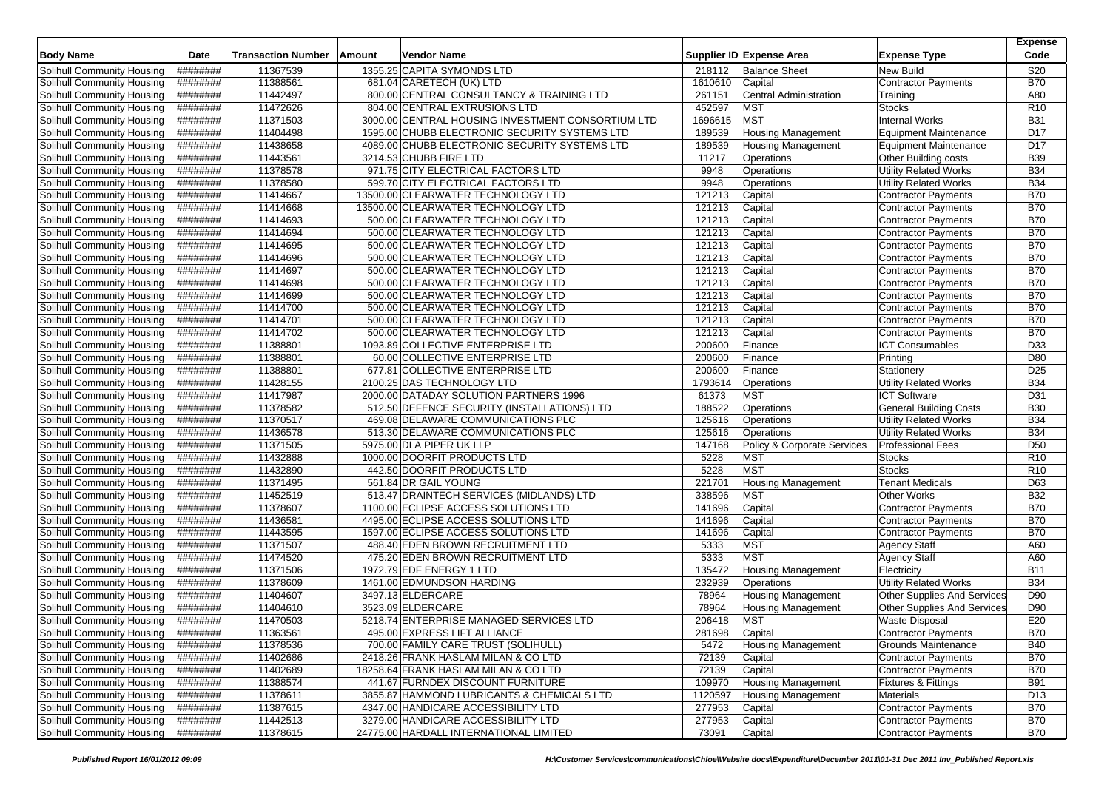|                                   | Date      | <b>Transaction Number</b> |        | Vendor Name                                       |         |                             |                                    | <b>Expense</b><br>Code |
|-----------------------------------|-----------|---------------------------|--------|---------------------------------------------------|---------|-----------------------------|------------------------------------|------------------------|
| <b>Body Name</b>                  |           |                           | Amount |                                                   |         | Supplier ID Expense Area    | <b>Expense Type</b>                |                        |
| Solihull Community Housing        | ########  | 11367539                  |        | 1355.25 CAPITA SYMONDS LTD                        | 218112  | <b>Balance Sheet</b>        | New Build                          | <b>S20</b>             |
| Solihull Community Housing        | ########  | 11388561                  |        | 681.04 CARETECH (UK) LTD                          | 1610610 | Capital                     | <b>Contractor Payments</b>         | <b>B70</b>             |
| Solihull Community Housing        | ########  | 11442497                  |        | 800.00 CENTRAL CONSULTANCY & TRAINING LTD         | 261151  | Central Administration      | Training                           | A80                    |
| Solihull Community Housing        | ########  | 11472626                  |        | 804.00 CENTRAL EXTRUSIONS LTD                     | 452597  | <b>MST</b>                  | <b>Stocks</b>                      | R <sub>10</sub>        |
| Solihull Community Housing        | ########  | 11371503                  |        | 3000.00 CENTRAL HOUSING INVESTMENT CONSORTIUM LTD | 1696615 | <b>MST</b>                  | <b>Internal Works</b>              | <b>B31</b>             |
| Solihull Community Housing        | ########  | 11404498                  |        | 1595.00 CHUBB ELECTRONIC SECURITY SYSTEMS LTD     | 189539  | <b>Housing Management</b>   | Equipment Maintenance              | D17                    |
| Solihull Community Housing        | ########  | 11438658                  |        | 4089.00 CHUBB ELECTRONIC SECURITY SYSTEMS LTD     | 189539  | <b>Housing Management</b>   | Equipment Maintenance              | D17                    |
| Solihull Community Housing        | ########  | 11443561                  |        | 3214.53 CHUBB FIRE LTD                            | 11217   | Operations                  | Other Building costs               | <b>B39</b>             |
| Solihull Community Housing        | ########  | 11378578                  |        | 971.75 CITY ELECTRICAL FACTORS LTD                | 9948    | Operations                  | <b>Utility Related Works</b>       | <b>B34</b>             |
| Solihull Community Housing        | ########  | 11378580                  |        | 599.70 CITY ELECTRICAL FACTORS LTD                | 9948    | Operations                  | <b>Utility Related Works</b>       | <b>B34</b>             |
| Solihull Community Housing        | ########  | 11414667                  |        | 13500.00 CLEARWATER TECHNOLOGY LTD                | 121213  | Capital                     | <b>Contractor Payments</b>         | <b>B70</b>             |
| Solihull Community Housing        | ########  | 11414668                  |        | 13500.00 CLEARWATER TECHNOLOGY LTD                | 121213  | Capital                     | <b>Contractor Payments</b>         | <b>B70</b>             |
| Solihull Community Housing        | ########  | 11414693                  |        | 500.00 CLEARWATER TECHNOLOGY LTD                  | 121213  | Capital                     | <b>Contractor Payments</b>         | <b>B70</b>             |
| Solihull Community Housing        | ########  | 11414694                  |        | 500.00 CLEARWATER TECHNOLOGY LTD                  | 121213  | Capital                     | <b>Contractor Payments</b>         | <b>B70</b>             |
| Solihull Community Housing        | ########  | 11414695                  |        | 500.00 CLEARWATER TECHNOLOGY LTD                  | 121213  | Capital                     | <b>Contractor Payments</b>         | <b>B70</b>             |
| Solihull Community Housing        | ########  | 11414696                  |        | 500.00 CLEARWATER TECHNOLOGY LTD                  | 121213  | Capital                     | Contractor Payments                | <b>B70</b>             |
| Solihull Community Housing        | ########  | 11414697                  |        | 500.00 CLEARWATER TECHNOLOGY LTD                  | 121213  | Capital                     | <b>Contractor Payments</b>         | <b>B70</b>             |
| Solihull Community Housing        | ########  | 11414698                  |        | 500.00 CLEARWATER TECHNOLOGY LTD                  | 121213  | Capital                     | <b>Contractor Payments</b>         | <b>B70</b>             |
| Solihull Community Housing        | ########  | 11414699                  |        | 500.00 CLEARWATER TECHNOLOGY LTD                  | 121213  | Capital                     | <b>Contractor Payments</b>         | <b>B70</b>             |
| Solihull Community Housing        | ########  | 11414700                  |        | 500.00 CLEARWATER TECHNOLOGY LTD                  | 121213  | Capital                     | <b>Contractor Payments</b>         | <b>B70</b>             |
| Solihull Community Housing        | ########  | 11414701                  |        | 500.00 CLEARWATER TECHNOLOGY LTD                  | 121213  | Capital                     | <b>Contractor Payments</b>         | <b>B70</b>             |
| Solihull Community Housing        | ########  | 11414702                  |        | 500.00 CLEARWATER TECHNOLOGY LTD                  | 121213  | Capital                     | <b>Contractor Payments</b>         | <b>B70</b>             |
| Solihull Community Housing        | ########  | 11388801                  |        | 1093.89 COLLECTIVE ENTERPRISE LTD                 | 200600  | Finance                     | <b>ICT Consumables</b>             | D33                    |
| Solihull Community Housing        | ########  | 11388801                  |        | 60.00 COLLECTIVE ENTERPRISE LTD                   | 200600  | Finance                     | Printing                           | D80                    |
| Solihull Community Housing        | ########  | 11388801                  |        | 677.81 COLLECTIVE ENTERPRISE LTD                  | 200600  | Finance                     | Stationery                         | D <sub>25</sub>        |
| Solihull Community Housing        | ########  | 11428155                  |        | 2100.25 DAS TECHNOLOGY LTD                        | 1793614 | Operations                  | <b>Utility Related Works</b>       | <b>B34</b>             |
| <b>Solihull Community Housing</b> | ########  | 11417987                  |        | 2000.00 DATADAY SOLUTION PARTNERS 1996            | 61373   | MST                         | <b>ICT Software</b>                | D31                    |
| Solihull Community Housing        | ########  | 11378582                  |        | 512.50 DEFENCE SECURITY (INSTALLATIONS) LTD       | 188522  | Operations                  | <b>General Building Costs</b>      | <b>B30</b>             |
| Solihull Community Housing        | ########  | 11370517                  |        | 469.08 DELAWARE COMMUNICATIONS PLC                | 125616  | Operations                  | <b>Utility Related Works</b>       | <b>B34</b>             |
| Solihull Community Housing        | ########  | 11436578                  |        | 513.30 DELAWARE COMMUNICATIONS PLC                | 125616  | Operations                  | <b>Utility Related Works</b>       | <b>B34</b>             |
| Solihull Community Housing        | ########  | 11371505                  |        | 5975.00 DLA PIPER UK LLP                          | 147168  | Policy & Corporate Services | <b>Professional Fees</b>           | D <sub>50</sub>        |
| Solihull Community Housing        | ########  | 11432888                  |        | 1000.00 DOORFIT PRODUCTS LTD                      | 5228    | <b>MST</b>                  | Stocks                             | R <sub>10</sub>        |
| Solihull Community Housing        | ########  | 11432890                  |        | 442.50 DOORFIT PRODUCTS LTD                       | 5228    | <b>MST</b>                  | Stocks                             | R <sub>10</sub>        |
| Solihull Community Housing        | ########  | 11371495                  |        | 561.84 DR GAIL YOUNG                              | 221701  | <b>Housing Management</b>   | <b>Tenant Medicals</b>             | D63                    |
| Solihull Community Housing        | ########  | 11452519                  |        | 513.47 DRAINTECH SERVICES (MIDLANDS) LTD          | 338596  | <b>MST</b>                  | Other Works                        | <b>B32</b>             |
| Solihull Community Housing        | ########  | 11378607                  |        | 1100.00 ECLIPSE ACCESS SOLUTIONS LTD              | 141696  | Capital                     | <b>Contractor Payments</b>         | <b>B70</b>             |
| Solihull Community Housing        | ########  | 11436581                  |        | 4495.00 ECLIPSE ACCESS SOLUTIONS LTD              | 141696  | Capital                     | <b>Contractor Payments</b>         | <b>B70</b>             |
| Solihull Community Housing        | ########  | 11443595                  |        | 1597.00 ECLIPSE ACCESS SOLUTIONS LTD              | 141696  | Capital                     | <b>Contractor Payments</b>         | <b>B70</b>             |
| Solihull Community Housing        | ########  | 11371507                  |        | 488.40 EDEN BROWN RECRUITMENT LTD                 | 5333    | <b>MST</b>                  | <b>Agency Staff</b>                | A60                    |
| Solihull Community Housing        | ########  | 11474520                  |        | 475.20 EDEN BROWN RECRUITMENT LTD                 | 5333    | <b>MST</b>                  | <b>Agency Staff</b>                | A60                    |
| Solihull Community Housing        | ########  | 11371506                  |        | 1972.79 EDF ENERGY 1 LTD                          | 135472  | <b>Housing Management</b>   | Electricity                        | <b>B11</b>             |
| Solihull Community Housing        | ########  | 11378609                  |        | 1461.00 EDMUNDSON HARDING                         | 232939  | Operations                  | <b>Utility Related Works</b>       | <b>B34</b>             |
| Solihull Community Housing        | ########  | 11404607                  |        | 3497.13 ELDERCARE                                 | 78964   | <b>Housing Management</b>   | <b>Other Supplies And Services</b> | D90                    |
| Solihull Community Housing        | ########  | 11404610                  |        | 3523.09 ELDERCARE                                 | 78964   | Housing Management          | Other Supplies And Services        | D90                    |
| Solihull Community Housing        | ########  | 11470503                  |        | 5218.74 ENTERPRISE MANAGED SERVICES LTD           | 206418  | <b>MST</b>                  | <b>Waste Disposal</b>              | E20                    |
| Solihull Community Housing        | ########  | 11363561                  |        | 495.00 EXPRESS LIFT ALLIANCE                      | 281698  | Capital                     | Contractor Payments                | B70                    |
| Solihull Community Housing        | ########  | 11378536                  |        | 700.00 FAMILY CARE TRUST (SOLIHULL)               | 5472    | <b>Housing Management</b>   | <b>Grounds Maintenance</b>         | <b>B40</b>             |
| Solihull Community Housing        | ########  | 11402686                  |        | 2418.26 FRANK HASLAM MILAN & CO LTD               | 72139   | Capital                     | <b>Contractor Payments</b>         | <b>B70</b>             |
| Solihull Community Housing        | ########  | 11402689                  |        | 18258.64 FRANK HASLAM MILAN & CO LTD              | 72139   | Capital                     | <b>Contractor Payments</b>         | <b>B70</b>             |
| Solihull Community Housing        | ########  | 11388574                  |        | 441.67 FURNDEX DISCOUNT FURNITURE                 | 109970  | Housing Management          | <b>Fixtures &amp; Fittings</b>     | <b>B91</b>             |
| Solihull Community Housing        | ########  | 11378611                  |        | 3855.87 HAMMOND LUBRICANTS & CHEMICALS LTD        | 1120597 | Housing Management          | <b>Materials</b>                   | D <sub>13</sub>        |
| Solihull Community Housing        | ########  | 11387615                  |        | 4347.00 HANDICARE ACCESSIBILITY LTD               | 277953  | Capital                     | <b>Contractor Payments</b>         | <b>B70</b>             |
| Solihull Community Housing        | ######### | 11442513                  |        | 3279.00 HANDICARE ACCESSIBILITY LTD               | 277953  | Capital                     | Contractor Payments                | <b>B70</b>             |
| Solihull Community Housing        | ########  | 11378615                  |        | 24775.00 HARDALL INTERNATIONAL LIMITED            | 73091   | Capital                     | <b>Contractor Payments</b>         | <b>B70</b>             |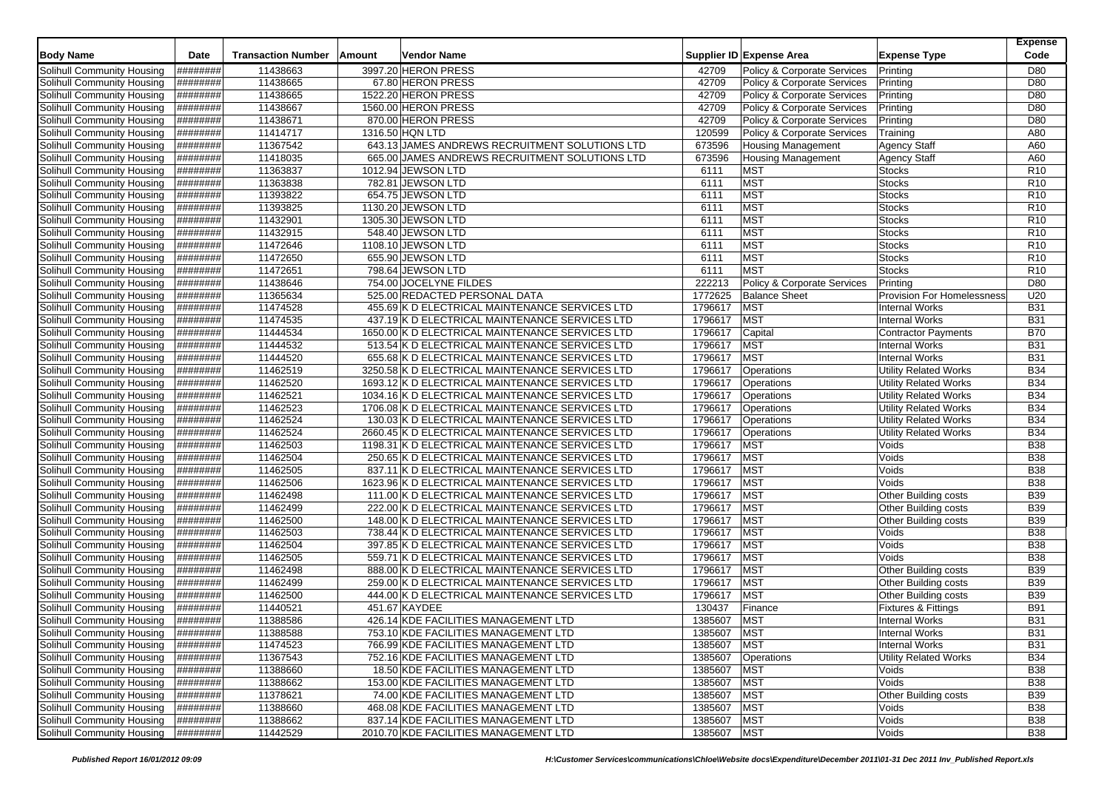| <b>Body Name</b>                  | Date      | <b>Transaction Number</b> | Amount | Vendor Name                                     |             | Supplier ID Expense Area    | <b>Expense Type</b>            | <b>Expense</b><br>Code |
|-----------------------------------|-----------|---------------------------|--------|-------------------------------------------------|-------------|-----------------------------|--------------------------------|------------------------|
| Solihull Community Housing        | ########  | 11438663                  |        | 3997.20 HERON PRESS                             | 42709       | Policy & Corporate Services | Printing                       | D80                    |
| Solihull Community Housing        | ########  | 11438665                  |        | 67.80 HERON PRESS                               | 42709       | Policy & Corporate Services | Printing                       | D80                    |
| Solihull Community Housing        | ########  | 11438665                  |        | 1522.20 HERON PRESS                             | 42709       | Policy & Corporate Services | Printing                       | D80                    |
| Solihull Community Housing        | ########  | 11438667                  |        | 1560.00 HERON PRESS                             | 42709       | Policy & Corporate Services | Printing                       | D80                    |
| Solihull Community Housing        | ########  | 11438671                  |        | 870.00 HERON PRESS                              | 42709       | Policy & Corporate Services | Printing                       | D80                    |
| Solihull Community Housing        | ########  | 11414717                  |        | 1316.50 HQN LTD                                 | 120599      | Policy & Corporate Services | Training                       | A80                    |
| Solihull Community Housing        | ########  | 11367542                  |        | 643.13 JAMES ANDREWS RECRUITMENT SOLUTIONS LTD  | 673596      | <b>Housing Management</b>   | <b>Agency Staff</b>            | A60                    |
| Solihull Community Housing        | ########  | 11418035                  |        | 665.00 JAMES ANDREWS RECRUITMENT SOLUTIONS LTD  | 673596      | <b>Housing Management</b>   | Agency Staff                   | A60                    |
| Solihull Community Housing        | ########  | 11363837                  |        | 1012.94 JEWSON LTD                              | 6111        | <b>MST</b>                  | <b>Stocks</b>                  | R <sub>10</sub>        |
| Solihull Community Housing        | ########  | 11363838                  |        | 782.81 JEWSON LTD                               | 6111        | <b>MST</b>                  | Stocks                         | R10                    |
| Solihull Community Housing        | ########  | 11393822                  |        | 654.75 JEWSON LTD                               | 6111        | <b>MST</b>                  | <b>Stocks</b>                  | R <sub>10</sub>        |
| Solihull Community Housing        | ########  | 11393825                  |        | 1130.20 JEWSON LTD                              | 6111        | <b>MST</b>                  | <b>Stocks</b>                  | R <sub>10</sub>        |
| Solihull Community Housing        | ########  | 11432901                  |        | 1305.30 JEWSON LTD                              | 6111        | <b>MST</b>                  | <b>Stocks</b>                  | R <sub>10</sub>        |
| Solihull Community Housing        | ########  | 11432915                  |        | 548.40 JEWSON LTD                               | 6111        | <b>MST</b>                  | <b>Stocks</b>                  | R <sub>10</sub>        |
| Solihull Community Housing        | ########  | 11472646                  |        | 1108.10 JEWSON LTD                              | 6111        | <b>MST</b>                  | <b>Stocks</b>                  | R <sub>10</sub>        |
| Solihull Community Housing        | ########  | 11472650                  |        | 655.90 JEWSON LTD                               | 6111        | <b>MST</b>                  | <b>Stocks</b>                  | R <sub>10</sub>        |
| Solihull Community Housing        | ########  | 11472651                  |        | 798.64 JEWSON LTD                               | 6111        | <b>MST</b>                  | <b>Stocks</b>                  | R <sub>10</sub>        |
| Solihull Community Housing        | ########  | 11438646                  |        | 754.00 JOCELYNE FILDES                          | 222213      | Policy & Corporate Services | Printing                       | D80                    |
| Solihull Community Housing        | ########  | 11365634                  |        | 525.00 REDACTED PERSONAL DATA                   | 1772625     | <b>Balance Sheet</b>        | Provision For Homelessness     | U20                    |
| Solihull Community Housing        | ########  | 11474528                  |        | 455.69 K D ELECTRICAL MAINTENANCE SERVICES LTD  | 1796617     | <b>MST</b>                  | <b>Internal Works</b>          | <b>B31</b>             |
| Solihull Community Housing        | ########  | 11474535                  |        | 437.19 K D ELECTRICAL MAINTENANCE SERVICES LTD  | 1796617     | <b>MST</b>                  | <b>Internal Works</b>          | <b>B31</b>             |
| Solihull Community Housing        | ########  | 11444534                  |        | 1650.00 K D ELECTRICAL MAINTENANCE SERVICES LTD | 1796617     | Capital                     | <b>Contractor Payments</b>     | <b>B70</b>             |
| Solihull Community Housing        | ########  | 11444532                  |        | 513.54 K D ELECTRICAL MAINTENANCE SERVICES LTD  | 1796617     | <b>MST</b>                  | <b>Internal Works</b>          | <b>B31</b>             |
| Solihull Community Housing        | ########  | 11444520                  |        | 655.68 K D ELECTRICAL MAINTENANCE SERVICES LTD  | 1796617     | <b>MST</b>                  | <b>Internal Works</b>          | <b>B31</b>             |
| Solihull Community Housing        | ########  | 11462519                  |        | 3250.58 K D ELECTRICAL MAINTENANCE SERVICES LTD | 1796617     | Operations                  | <b>Utility Related Works</b>   | <b>B34</b>             |
| Solihull Community Housing        | ########  | 11462520                  |        | 1693.12 K D ELECTRICAL MAINTENANCE SERVICES LTD | 1796617     | Operations                  | <b>Utility Related Works</b>   | <b>B34</b>             |
| <b>Solihull Community Housing</b> | ########  | 11462521                  |        | 1034.16 K D ELECTRICAL MAINTENANCE SERVICES LTD | 1796617     | Operations                  | <b>Utility Related Works</b>   | <b>B34</b>             |
| Solihull Community Housing        | ########  | 11462523                  |        | 1706.08 K D ELECTRICAL MAINTENANCE SERVICES LTD | 1796617     | Operations                  | <b>Utility Related Works</b>   | <b>B34</b>             |
| Solihull Community Housing        | ########  | 11462524                  |        | 130.03 K D ELECTRICAL MAINTENANCE SERVICES LTD  | 1796617     | Operations                  | <b>Utility Related Works</b>   | <b>B34</b>             |
| Solihull Community Housing        | ########  | 11462524                  |        | 2660.45 K D ELECTRICAL MAINTENANCE SERVICES LTD | 1796617     | Operations                  | <b>Utility Related Works</b>   | <b>B34</b>             |
| Solihull Community Housing        | ########  | 11462503                  |        | 1198.31 K D ELECTRICAL MAINTENANCE SERVICES LTD | 1796617     | <b>MST</b>                  | Voids                          | <b>B38</b>             |
| Solihull Community Housing        | ########  | 11462504                  |        | 250.65 K D ELECTRICAL MAINTENANCE SERVICES LTD  | 1796617     | <b>MST</b>                  | Voids                          | <b>B38</b>             |
| Solihull Community Housing        | ########  | 11462505                  |        | 837.11 K D ELECTRICAL MAINTENANCE SERVICES LTD  | 1796617     | <b>MST</b>                  | Voids                          | <b>B38</b>             |
| Solihull Community Housing        | ########  | 11462506                  |        | 1623.96 K D ELECTRICAL MAINTENANCE SERVICES LTD | 1796617     | <b>MST</b>                  | Voids                          | <b>B38</b>             |
| Solihull Community Housing        | ########  | 11462498                  |        | 111.00 K D ELECTRICAL MAINTENANCE SERVICES LTD  | 1796617     | <b>MST</b>                  | Other Building costs           | <b>B39</b>             |
| Solihull Community Housing        | ########  | 11462499                  |        | 222.00 K D ELECTRICAL MAINTENANCE SERVICES LTD  | 1796617     | <b>MST</b>                  | Other Building costs           | <b>B39</b>             |
| Solihull Community Housing        | ########  | 11462500                  |        | 148.00 K D ELECTRICAL MAINTENANCE SERVICES LTD  | 1796617     | <b>MST</b>                  | Other Building costs           | <b>B39</b>             |
| Solihull Community Housing        | ########  | 11462503                  |        | 738.44 K D ELECTRICAL MAINTENANCE SERVICES LTD  | 1796617     | <b>MST</b>                  | Voids                          | <b>B38</b>             |
| Solihull Community Housing        | ########  | 11462504                  |        | 397.85 K D ELECTRICAL MAINTENANCE SERVICES LTD  | 1796617     | <b>MST</b>                  | Voids                          | <b>B38</b>             |
| Solihull Community Housing        | ########  | 11462505                  |        | 559.71 K D ELECTRICAL MAINTENANCE SERVICES LTD  | 1796617     | <b>MST</b>                  | Voids                          | <b>B38</b>             |
| Solihull Community Housing        | ########  | 11462498                  |        | 888.00 K D ELECTRICAL MAINTENANCE SERVICES LTD  | 1796617     | <b>MST</b>                  | Other Building costs           | <b>B39</b>             |
| Solihull Community Housing        | ########  | 11462499                  |        | 259.00 K D ELECTRICAL MAINTENANCE SERVICES LTD  | 1796617     | <b>MST</b>                  | Other Building costs           | <b>B39</b>             |
| Solihull Community Housing        | ########  | 11462500                  |        | 444.00 K D ELECTRICAL MAINTENANCE SERVICES LTD  | 1796617     | <b>MST</b>                  | Other Building costs           | <b>B39</b>             |
| Solihull Community Housing        | ########  | 11440521                  |        | 451.67 KAYDEE                                   | 130437      | Finance                     | <b>Fixtures &amp; Fittings</b> | <b>B91</b>             |
| Solihull Community Housing        | ########  | 11388586                  |        | 426.14 KDE FACILITIES MANAGEMENT LTD            | 1385607     | <b>MST</b>                  | <b>Internal Works</b>          | <b>B31</b>             |
| Solihull Community Housing        | ########  | 11388588                  |        | 753.10 KDE FACILITIES MANAGEMENT LTD            | 1385607     | <b>MST</b>                  | <b>Internal Works</b>          | <b>B31</b>             |
| Solihull Community Housing        | ########  | 11474523                  |        | 766.99 KDE FACILITIES MANAGEMENT LTD            | 1385607     | <b>MST</b>                  | <b>Internal Works</b>          | <b>B31</b>             |
| Solihull Community Housing        | ########  | 11367543                  |        | 752.16 KDE FACILITIES MANAGEMENT LTD            | 1385607     | Operations                  | <b>Utility Related Works</b>   | <b>B34</b>             |
| Solihull Community Housing        | ########  | 11388660                  |        | 18.50 KDE FACILITIES MANAGEMENT LTD             | 1385607     | <b>MST</b>                  | Voids                          | <b>B38</b>             |
| Solihull Community Housing        | ########  | 11388662                  |        | 153.00 KDE FACILITIES MANAGEMENT LTD            | 1385607     | <b>MST</b>                  | Voids                          | <b>B38</b>             |
| Solihull Community Housing        | ########  | 11378621                  |        | 74.00 KDE FACILITIES MANAGEMENT LTD             | 1385607     | <b>MST</b>                  | Other Building costs           | <b>B39</b>             |
| Solihull Community Housing        | ########  | 11388660                  |        | 468.08 KDE FACILITIES MANAGEMENT LTD            | 1385607     | <b>MST</b>                  | Voids                          | <b>B38</b>             |
| Solihull Community Housing        | ######### | 11388662                  |        | 837.14 KDE FACILITIES MANAGEMENT LTD            | 1385607     | <b>MST</b>                  | Voids                          | <b>B38</b>             |
| Solihull Community Housing        | ######### | 11442529                  |        | 2010.70 KDE FACILITIES MANAGEMENT LTD           | 1385607 MST |                             | Voids                          | <b>B38</b>             |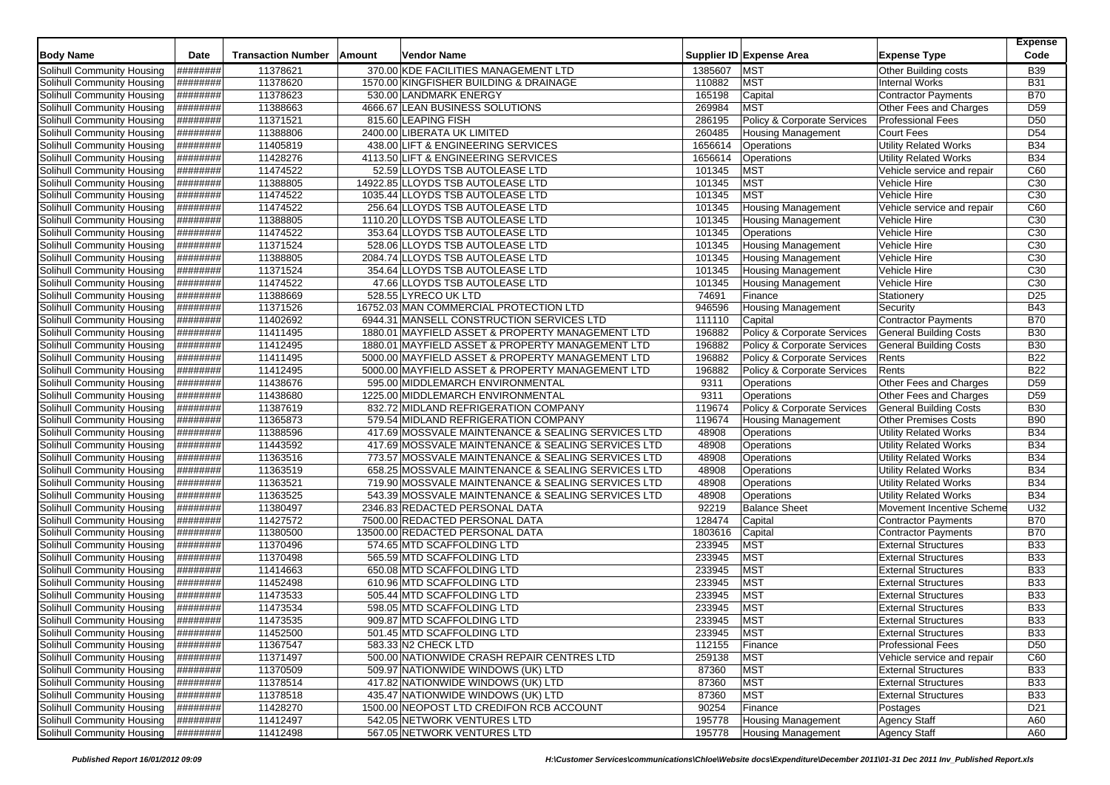|                                   |                 |                           |        |                                                    |         |                                        |                               | <b>Expense</b>  |
|-----------------------------------|-----------------|---------------------------|--------|----------------------------------------------------|---------|----------------------------------------|-------------------------------|-----------------|
| <b>Body Name</b>                  | Date            | <b>Transaction Number</b> | Amount | Vendor Name                                        |         | Supplier ID Expense Area               | <b>Expense Type</b>           | Code            |
| <b>Solihull Community Housing</b> | ########        | 11378621                  |        | 370.00 KDE FACILITIES MANAGEMENT LTD               | 1385607 | <b>MST</b>                             | Other Building costs          | <b>B39</b>      |
| Solihull Community Housing        | ########        | 11378620                  |        | 1570.00 KINGFISHER BUILDING & DRAINAGE             | 110882  | <b>MST</b>                             | <b>Internal Works</b>         | <b>B31</b>      |
| <b>Solihull Community Housing</b> | ########        | 11378623                  |        | 530.00 LANDMARK ENERGY                             | 165198  | Capital                                | <b>Contractor Payments</b>    | <b>B70</b>      |
| Solihull Community Housing        | ########        | 11388663                  |        | 4666.67 LEAN BUSINESS SOLUTIONS                    | 269984  | <b>MST</b>                             | Other Fees and Charges        | D <sub>59</sub> |
| Solihull Community Housing        | ########        | 11371521                  |        | 815.60 LEAPING FISH                                | 286195  | <b>Policy &amp; Corporate Services</b> | <b>Professional Fees</b>      | D <sub>50</sub> |
| Solihull Community Housing        | ########        | 11388806                  |        | 2400.00 LIBERATA UK LIMITED                        | 260485  | <b>Housing Management</b>              | Court Fees                    | D <sub>54</sub> |
| Solihull Community Housing        | ########        | 11405819                  |        | 438.00 LIFT & ENGINEERING SERVICES                 | 1656614 | Operations                             | <b>Utility Related Works</b>  | <b>B34</b>      |
| Solihull Community Housing        | ########        | 11428276                  |        | 4113.50 LIFT & ENGINEERING SERVICES                | 1656614 | Operations                             | <b>Utility Related Works</b>  | <b>B34</b>      |
| Solihull Community Housing        | ########        | 11474522                  |        | 52.59 LLOYDS TSB AUTOLEASE LTD                     | 101345  | <b>MST</b>                             | Vehicle service and repair    | C60             |
| Solihull Community Housing        | ########        | 11388805                  |        | 14922.85 LLOYDS TSB AUTOLEASE LTD                  | 101345  | <b>MST</b>                             | Vehicle Hire                  | C30             |
| Solihull Community Housing        | ########        | 11474522                  |        | 1035.44 LLOYDS TSB AUTOLEASE LTD                   | 101345  | <b>MST</b>                             | Vehicle Hire                  | C <sub>30</sub> |
| Solihull Community Housing        | <b>H#######</b> | 11474522                  |        | 256.64 LLOYDS TSB AUTOLEASE LTD                    | 101345  | <b>Housing Management</b>              | Vehicle service and repair    | C60             |
| Solihull Community Housing        | ########        | 11388805                  |        | 1110.20 LLOYDS TSB AUTOLEASE LTD                   | 101345  | <b>Housing Management</b>              | Vehicle Hire                  | C <sub>30</sub> |
| Solihull Community Housing        | ########        | 11474522                  |        | 353.64 LLOYDS TSB AUTOLEASE LTD                    | 101345  | Operations                             | Vehicle Hire                  | C <sub>30</sub> |
| Solihull Community Housing        | ########        | 11371524                  |        | 528.06 LLOYDS TSB AUTOLEASE LTD                    | 101345  | <b>Housing Management</b>              | Vehicle Hire                  | C30             |
| Solihull Community Housing        | ########        | 11388805                  |        | 2084.74 LLOYDS TSB AUTOLEASE LTD                   | 101345  | <b>Housing Management</b>              | Vehicle Hire                  | C <sub>30</sub> |
| Solihull Community Housing        | ########        | 11371524                  |        | 354.64 LLOYDS TSB AUTOLEASE LTD                    | 101345  | <b>Housing Management</b>              | Vehicle Hire                  | C30             |
| Solihull Community Housing        | ########        | 11474522                  |        | 47.66 LLOYDS TSB AUTOLEASE LTD                     | 101345  | <b>Housing Management</b>              | Vehicle Hire                  | C <sub>30</sub> |
| Solihull Community Housing        | ########        | 11388669                  |        | 528.55 LYRECO UK LTD                               | 74691   | Finance                                | Stationery                    | D <sub>25</sub> |
| Solihull Community Housing        | ########        | 11371526                  |        | 16752.03 MAN COMMERCIAL PROTECTION LTD             | 946596  | <b>Housing Management</b>              | Security                      | <b>B43</b>      |
| Solihull Community Housing        | ########        | 11402692                  |        | 6944.31 MANSELL CONSTRUCTION SERVICES LTD          | 111110  | Capital                                | <b>Contractor Payments</b>    | <b>B70</b>      |
| Solihull Community Housing        | ########        | 11411495                  |        | 1880.01 MAYFIELD ASSET & PROPERTY MANAGEMENT LTD   | 196882  | Policy & Corporate Services            | <b>General Building Costs</b> | <b>B30</b>      |
| Solihull Community Housing        | ########        | 11412495                  |        | 1880.01 MAYFIELD ASSET & PROPERTY MANAGEMENT LTD   | 196882  | Policy & Corporate Services            | <b>General Building Costs</b> | <b>B30</b>      |
| Solihull Community Housing        | <b>H#######</b> | 11411495                  |        | 5000.00 MAYFIELD ASSET & PROPERTY MANAGEMENT LTD   | 196882  | Policy & Corporate Services            | Rents                         | <b>B22</b>      |
| Solihull Community Housing        | ########        | 11412495                  |        | 5000.00 MAYFIELD ASSET & PROPERTY MANAGEMENT LTD   | 196882  | <b>Policy &amp; Corporate Services</b> | Rents                         | <b>B22</b>      |
| Solihull Community Housing        | ########        | 11438676                  |        | 595.00 MIDDLEMARCH ENVIRONMENTAL                   | 9311    | Operations                             | Other Fees and Charges        | D <sub>59</sub> |
| <b>Solihull Community Housing</b> | ########        | 11438680                  |        | 1225.00 MIDDLEMARCH ENVIRONMENTAL                  | 9311    | Operations                             | Other Fees and Charges        | D <sub>59</sub> |
| Solihull Community Housing        | ########        | 11387619                  |        | 832.72 MIDLAND REFRIGERATION COMPANY               | 119674  | Policy & Corporate Services            | <b>General Building Costs</b> | <b>B30</b>      |
| Solihull Community Housing        | ########        | 11365873                  |        | 579.54 MIDLAND REFRIGERATION COMPANY               | 119674  | <b>Housing Management</b>              | Other Premises Costs          | <b>B90</b>      |
| <b>Solihull Community Housing</b> | ########        | 11388596                  |        | 417.69 MOSSVALE MAINTENANCE & SEALING SERVICES LTD | 48908   | Operations                             | <b>Utility Related Works</b>  | <b>B34</b>      |
| Solihull Community Housing        | ########        | 11443592                  |        | 417.69 MOSSVALE MAINTENANCE & SEALING SERVICES LTD | 48908   | Operations                             | <b>Utility Related Works</b>  | <b>B34</b>      |
| Solihull Community Housing        | ########        | 11363516                  |        | 773.57 MOSSVALE MAINTENANCE & SEALING SERVICES LTD | 48908   | Operations                             | <b>Utility Related Works</b>  | <b>B34</b>      |
| Solihull Community Housing        | ########        | 11363519                  |        | 658.25 MOSSVALE MAINTENANCE & SEALING SERVICES LTD | 48908   | Operations                             | <b>Utility Related Works</b>  | <b>B34</b>      |
| Solihull Community Housing        | ########        | 11363521                  |        | 719.90 MOSSVALE MAINTENANCE & SEALING SERVICES LTD | 48908   | Operations                             | <b>Utility Related Works</b>  | <b>B34</b>      |
| Solihull Community Housing        | ########        | 11363525                  |        | 543.39 MOSSVALE MAINTENANCE & SEALING SERVICES LTD | 48908   | Operations                             | <b>Utility Related Works</b>  | <b>B34</b>      |
| Solihull Community Housing        | ########        | 11380497                  |        | 2346.83 REDACTED PERSONAL DATA                     | 92219   | <b>Balance Sheet</b>                   | Movement Incentive Scheme     | U32             |
| Solihull Community Housing        | ########        | 11427572                  |        | 7500.00 REDACTED PERSONAL DATA                     | 128474  | Capital                                | <b>Contractor Payments</b>    | <b>B70</b>      |
| Solihull Community Housing        | ########        | 11380500                  |        | 13500.00 REDACTED PERSONAL DATA                    | 1803616 | Capital                                | <b>Contractor Payments</b>    | <b>B70</b>      |
| Solihull Community Housing        | ########        | 11370496                  |        | 574.65 MTD SCAFFOLDING LTD                         | 233945  | <b>MST</b>                             | <b>External Structures</b>    | <b>B33</b>      |
| Solihull Community Housing        | ########        | 11370498                  |        | 565.59 MTD SCAFFOLDING LTD                         | 233945  | <b>MST</b>                             | <b>External Structures</b>    | <b>B33</b>      |
| <b>Solihull Community Housing</b> | ########        | 11414663                  |        | 650.08 MTD SCAFFOLDING LTD                         | 233945  | <b>MST</b>                             | <b>External Structures</b>    | <b>B33</b>      |
| Solihull Community Housing        | ########        | 11452498                  |        | 610.96 MTD SCAFFOLDING LTD                         | 233945  | <b>MST</b>                             | <b>External Structures</b>    | <b>B33</b>      |
| Solihull Community Housing        | <b>H#######</b> | 11473533                  |        | 505.44 MTD SCAFFOLDING LTD                         | 233945  | <b>MST</b>                             | <b>External Structures</b>    | <b>B33</b>      |
| Solihull Community Housing        | ########        | 11473534                  |        | 598.05 MTD SCAFFOLDING LTD                         | 233945  | <b>MST</b>                             | <b>External Structures</b>    | <b>B33</b>      |
| Solihull Community Housing        | ########        | 11473535                  |        | 909.87 MTD SCAFFOLDING LTD                         | 233945  | <b>MST</b>                             | <b>External Structures</b>    | <b>B33</b>      |
| Solihull Community Housing        | ########        | 11452500                  |        | 501.45 MTD SCAFFOLDING LTD                         | 233945  | <b>MST</b>                             | <b>External Structures</b>    | <b>B33</b>      |
| Solihull Community Housing        | ########        | 11367547                  |        | 583.33 N2 CHECK LTD                                | 112155  | Finance                                | <b>Professional Fees</b>      | D <sub>50</sub> |
| Solihull Community Housing        | <b>H#######</b> | 11371497                  |        | 500.00 NATIONWIDE CRASH REPAIR CENTRES LTD         | 259138  | <b>MST</b>                             | Vehicle service and repair    | C60             |
| Solihull Community Housing        | ########        | 11370509                  |        | 509.97 NATIONWIDE WINDOWS (UK) LTD                 | 87360   | <b>MST</b>                             | <b>External Structures</b>    | <b>B33</b>      |
| Solihull Community Housing        | ########        | 11378514                  |        | 417.82 NATIONWIDE WINDOWS (UK) LTD                 | 87360   | <b>MST</b>                             | <b>External Structures</b>    | <b>B33</b>      |
| Solihull Community Housing        | ########        | 11378518                  |        | 435.47 NATIONWIDE WINDOWS (UK) LTD                 | 87360   | <b>MST</b>                             | <b>External Structures</b>    | <b>B33</b>      |
| Solihull Community Housing        | ########        | 11428270                  |        | 1500.00 NEOPOST LTD CREDIFON RCB ACCOUNT           | 90254   | Finance                                | Postages                      | D <sub>21</sub> |
| Solihull Community Housing        | #########       | 11412497                  |        | 542.05 NETWORK VENTURES LTD                        | 195778  | <b>Housing Management</b>              | <b>Agency Staff</b>           | A60             |
| Solihull Community Housing        | #########       | 11412498                  |        | 567.05 NETWORK VENTURES LTD                        | 195778  | <b>Housing Management</b>              | <b>Agency Staff</b>           | A60             |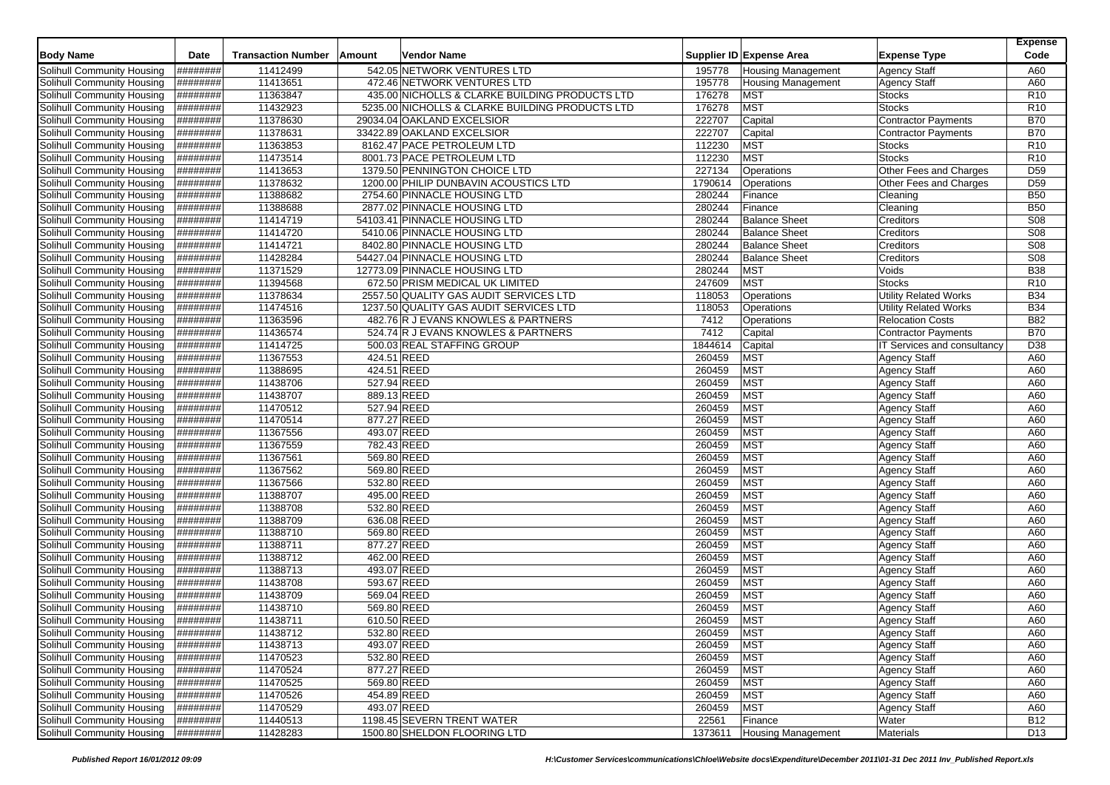| <b>Body Name</b>                  | Date             | <b>Transaction Number</b> | Amount      | Vendor Name                                     |         | Supplier ID Expense Area  | <b>Expense Type</b>          | <b>Expense</b><br>Code |
|-----------------------------------|------------------|---------------------------|-------------|-------------------------------------------------|---------|---------------------------|------------------------------|------------------------|
| Solihull Community Housing        | ########         | 11412499                  |             | 542.05 NETWORK VENTURES LTD                     | 195778  | Housing Management        | <b>Agency Staff</b>          | A60                    |
| Solihull Community Housing        | ########         | 11413651                  |             | 472.46 NETWORK VENTURES LTD                     | 195778  | <b>Housing Management</b> | <b>Agency Staff</b>          | A60                    |
| Solihull Community Housing        | ########         | 11363847                  |             | 435.00 NICHOLLS & CLARKE BUILDING PRODUCTS LTD  | 176278  | <b>MST</b>                | <b>Stocks</b>                | R <sub>10</sub>        |
| Solihull Community Housing        | ########         | 11432923                  |             | 5235.00 NICHOLLS & CLARKE BUILDING PRODUCTS LTD | 176278  | <b>MST</b>                | <b>Stocks</b>                | R <sub>10</sub>        |
| Solihull Community Housing        | ########         | 11378630                  |             | 29034.04 OAKLAND EXCELSIOR                      | 222707  | Capital                   | <b>Contractor Payments</b>   | <b>B70</b>             |
| Solihull Community Housing        | ########         | 11378631                  |             | 33422.89 OAKLAND EXCELSIOR                      | 222707  | Capital                   | <b>Contractor Payments</b>   | <b>B70</b>             |
| Solihull Community Housing        | ########         | 11363853                  |             | 8162.47 PACE PETROLEUM LTD                      | 112230  | <b>MST</b>                | <b>Stocks</b>                | R <sub>10</sub>        |
| Solihull Community Housing        | ########         | 11473514                  |             | 8001.73 PACE PETROLEUM LTD                      | 112230  | <b>MST</b>                | <b>Stocks</b>                | R <sub>10</sub>        |
| Solihull Community Housing        | ########         | 11413653                  |             | 1379.50 PENNINGTON CHOICE LTD                   | 227134  | Operations                | Other Fees and Charges       | D <sub>59</sub>        |
| Solihull Community Housing        | ########         | 11378632                  |             | 1200.00 PHILIP DUNBAVIN ACOUSTICS LTD           | 1790614 | Operations                | Other Fees and Charges       | D <sub>59</sub>        |
| Solihull Community Housing        | ########         | 11388682                  |             | 2754.60 PINNACLE HOUSING LTD                    | 280244  | Finance                   | Cleaning                     | <b>B50</b>             |
| Solihull Community Housing        | <b>H#######</b>  | 11388688                  |             | 2877.02 PINNACLE HOUSING LTD                    | 280244  | Finance                   | Cleaning                     | <b>B50</b>             |
| Solihull Community Housing        | ########         | 11414719                  |             | 54103.41 PINNACLE HOUSING LTD                   | 280244  | <b>Balance Sheet</b>      | Creditors                    | <b>S08</b>             |
| Solihull Community Housing        | ########         | 11414720                  |             | 5410.06 PINNACLE HOUSING LTD                    | 280244  | <b>Balance Sheet</b>      | Creditors                    | <b>S08</b>             |
| Solihull Community Housing        | ########         | 11414721                  |             | 8402.80 PINNACLE HOUSING LTD                    | 280244  | <b>Balance Sheet</b>      | Creditors                    | <b>S08</b>             |
| Solihull Community Housing        | ########         | 11428284                  |             | 54427.04 PINNACLE HOUSING LTD                   | 280244  | <b>Balance Sheet</b>      | Creditors                    | <b>S08</b>             |
| Solihull Community Housing        | ########         | 11371529                  |             | 12773.09 PINNACLE HOUSING LTD                   | 280244  | <b>MST</b>                | Voids                        | <b>B38</b>             |
| Solihull Community Housing        | ########         | 11394568                  |             | 672.50 PRISM MEDICAL UK LIMITED                 | 247609  | <b>MST</b>                | <b>Stocks</b>                | R <sub>10</sub>        |
| Solihull Community Housing        | ########         | 11378634                  |             | 2557.50 QUALITY GAS AUDIT SERVICES LTD          | 118053  | Operations                | <b>Utility Related Works</b> | <b>B34</b>             |
| Solihull Community Housing        | ########         | 11474516                  |             | 1237.50 QUALITY GAS AUDIT SERVICES LTD          | 118053  | Operations                | <b>Utility Related Works</b> | <b>B34</b>             |
| Solihull Community Housing        | ########         | 11363596                  |             | 482.76 R J EVANS KNOWLES & PARTNERS             | 7412    | Operations                | <b>Relocation Costs</b>      | <b>B82</b>             |
| Solihull Community Housing        | ########         | 11436574                  |             | 524.74 R J EVANS KNOWLES & PARTNERS             | 7412    | Capital                   | <b>Contractor Payments</b>   | <b>B70</b>             |
| Solihull Community Housing        | ########         | 11414725                  |             | 500.03 REAL STAFFING GROUP                      | 1844614 | Capital                   | IT Services and consultancy  | D38                    |
| Solihull Community Housing        | <b>H#######</b>  | 11367553                  | 424.51 REED |                                                 | 260459  | <b>MST</b>                | <b>Agency Staff</b>          | A60                    |
| Solihull Community Housing        | ########         | 11388695                  | 424.51 REED |                                                 | 260459  | <b>MST</b>                | <b>Agency Staff</b>          | A60                    |
| Solihull Community Housing        | ########         | 11438706                  | 527.94 REED |                                                 | 260459  | <b>MST</b>                | <b>Agency Staff</b>          | A60                    |
| <b>Solihull Community Housing</b> | ########         | 11438707                  | 889.13 REED |                                                 | 260459  | <b>MST</b>                | <b>Agency Staff</b>          | A60                    |
| Solihull Community Housing        | ########         | 11470512                  | 527.94 REED |                                                 | 260459  | <b>MST</b>                | <b>Agency Staff</b>          | A60                    |
| Solihull Community Housing        | ########         | 11470514                  | 877.27 REED |                                                 | 260459  | <b>MST</b>                | <b>Agency Staff</b>          | A60                    |
| <b>Solihull Community Housing</b> | ########         | 11367556                  | 493.07 REED |                                                 | 260459  | <b>MST</b>                | <b>Agency Staff</b>          | A60                    |
| Solihull Community Housing        | ########         | 11367559                  | 782.43 REED |                                                 | 260459  | <b>MST</b>                | <b>Agency Staff</b>          | A60                    |
| Solihull Community Housing        | ########         | 11367561                  |             | 569.80 REED                                     | 260459  | <b>MST</b>                | <b>Agency Staff</b>          | A60                    |
| Solihull Community Housing        | ########         | 11367562                  | 569.80 REED |                                                 | 260459  | <b>MST</b>                | <b>Agency Staff</b>          | A60                    |
| Solihull Community Housing        | <b>#########</b> | 11367566                  | 532.80 REED |                                                 | 260459  | <b>MST</b>                | <b>Agency Staff</b>          | A60                    |
| Solihull Community Housing        | ########         | 11388707                  | 495.00 REED |                                                 | 260459  | <b>MST</b>                | <b>Agency Staff</b>          | A60                    |
| Solihull Community Housing        | ########         | 11388708                  | 532.80 REED |                                                 | 260459  | <b>MST</b>                | <b>Agency Staff</b>          | A60                    |
| Solihull Community Housing        | ########         | 11388709                  | 636.08 REED |                                                 | 260459  | <b>MST</b>                | <b>Agency Staff</b>          | A60                    |
| Solihull Community Housing        | ########         | 11388710                  | 569.80 REED |                                                 | 260459  | <b>MST</b>                | <b>Agency Staff</b>          | A60                    |
| Solihull Community Housing        | ########         | 11388711                  | 877.27 REED |                                                 | 260459  | <b>MST</b>                | <b>Agency Staff</b>          | A60                    |
| Solihull Community Housing        | <b>H########</b> | 11388712                  | 462.00 REED |                                                 | 260459  | <b>MST</b>                | Agency Staff                 | A60                    |
| <b>Solihull Community Housing</b> | ########         | 11388713                  |             | 493.07 REED                                     | 260459  | <b>MST</b>                | <b>Agency Staff</b>          | A60                    |
| Solihull Community Housing        | ########         | 11438708                  | 593.67 REED |                                                 | 260459  | <b>MST</b>                | <b>Agency Staff</b>          | A60                    |
| Solihull Community Housing        | <b>H#######</b>  | 11438709                  | 569.04 REED |                                                 | 260459  | <b>MST</b>                | Agency Staff                 | A60                    |
| Solihull Community Housing        | ########         | 11438710                  |             | 569.80 REED                                     | 260459  | <b>MST</b>                | <b>Agency Staff</b>          | A60                    |
| Solihull Community Housing        | ########         | 11438711                  | 610.50 REED |                                                 | 260459  | <b>MST</b>                | <b>Agency Staff</b>          | A60                    |
| Solihull Community Housing        | ########         | 11438712                  | 532.80 REED |                                                 | 260459  | <b>MST</b>                | <b>Agency Staff</b>          | A60                    |
| Solihull Community Housing        | ########         | 11438713                  | 493.07 REED |                                                 | 260459  | <b>MST</b>                | <b>Agency Staff</b>          | A60                    |
| Solihull Community Housing        | ########         | 11470523                  | 532.80 REED |                                                 | 260459  | <b>MST</b>                | <b>Agency Staff</b>          | A60                    |
| Solihull Community Housing        | ########         | 11470524                  | 877.27 REED |                                                 | 260459  | <b>MST</b>                | <b>Agency Staff</b>          | A60                    |
| Solihull Community Housing        | ########         | 11470525                  |             | 569.80 REED                                     | 260459  | <b>MST</b>                | <b>Agency Staff</b>          | A60                    |
| Solihull Community Housing        | ########         | 11470526                  |             | 454.89 REED                                     | 260459  | <b>MST</b>                | <b>Agency Staff</b>          | A60                    |
| Solihull Community Housing        | ########         | 11470529                  | 493.07 REED |                                                 | 260459  | <b>MST</b>                | <b>Agency Staff</b>          | A60                    |
| Solihull Community Housing        | ########         | 11440513                  |             | 1198.45 SEVERN TRENT WATER                      | 22561   | Finance                   | Water                        | <b>B12</b>             |
| Solihull Community Housing        | #########        | 11428283                  |             | 1500.80 SHELDON FLOORING LTD                    | 1373611 | <b>Housing Management</b> | <b>Materials</b>             | D <sub>13</sub>        |
|                                   |                  |                           |             |                                                 |         |                           |                              |                        |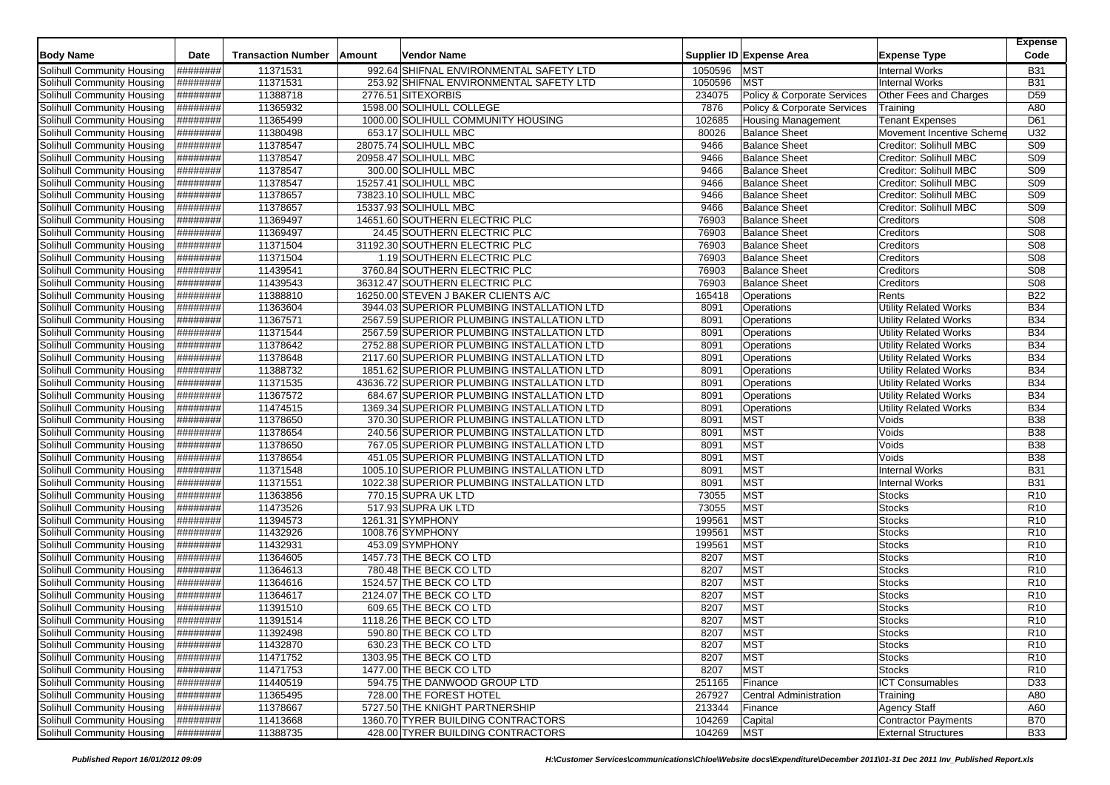| <b>Body Name</b>                                         | Date                 | <b>Transaction Number</b> | Amount | Vendor Name                                                                        |                   | Supplier ID Expense Area      | <b>Expense Type</b>                             | <b>Expense</b><br>Code        |
|----------------------------------------------------------|----------------------|---------------------------|--------|------------------------------------------------------------------------------------|-------------------|-------------------------------|-------------------------------------------------|-------------------------------|
|                                                          |                      |                           |        |                                                                                    |                   |                               |                                                 |                               |
| <b>Solihull Community Housing</b>                        | ########<br>######## | 11371531                  |        | 992.64 SHIFNAL ENVIRONMENTAL SAFETY LTD<br>253.92 SHIFNAL ENVIRONMENTAL SAFETY LTD | 1050596           | <b>MST</b><br><b>MST</b>      | <b>Internal Works</b>                           | <b>B31</b>                    |
| Solihull Community Housing                               | ########             | 11371531<br>11388718      |        | 2776.51 SITEXORBIS                                                                 | 1050596<br>234075 | Policy & Corporate Services   | <b>Internal Works</b><br>Other Fees and Charges | <b>B31</b><br>D <sub>59</sub> |
| Solihull Community Housing<br>Solihull Community Housing | ########             | 11365932                  |        | 1598.00 SOLIHULL COLLEGE                                                           | 7876              | Policy & Corporate Services   |                                                 | A80                           |
| Solihull Community Housing                               | ########             | 11365499                  |        | 1000.00 SOLIHULL COMMUNITY HOUSING                                                 | 102685            | <b>Housing Management</b>     | Training<br><b>Tenant Expenses</b>              | D61                           |
| Solihull Community Housing                               | ########             | 11380498                  |        | 653.17 SOLIHULL MBC                                                                | 80026             | <b>Balance Sheet</b>          | Movement Incentive Scheme                       | U32                           |
| Solihull Community Housing                               | ########             | 11378547                  |        | 28075.74 SOLIHULL MBC                                                              | 9466              | <b>Balance Sheet</b>          | Creditor: Solihull MBC                          | <b>S09</b>                    |
| Solihull Community Housing                               | ########             | 11378547                  |        | 20958.47 SOLIHULL MBC                                                              | 9466              | <b>Balance Sheet</b>          | Creditor: Solihull MBC                          | <b>S09</b>                    |
| Solihull Community Housing                               | ########             | 11378547                  |        | 300.00 SOLIHULL MBC                                                                | 9466              | <b>Balance Sheet</b>          | Creditor: Solihull MBC                          | <b>S09</b>                    |
| Solihull Community Housing                               | ########             | 11378547                  |        | 15257.41 SOLIHULL MBC                                                              | 9466              | <b>Balance Sheet</b>          | Creditor: Solihull MBC                          | S <sub>09</sub>               |
| Solihull Community Housing                               | ########             | 11378657                  |        | 73823.10 SOLIHULL MBC                                                              | 9466              | <b>Balance Sheet</b>          | Creditor: Solihull MBC                          | <b>S09</b>                    |
| Solihull Community Housing                               | <b>H#######</b>      | 11378657                  |        | 15337.93 SOLIHULL MBC                                                              | 9466              | <b>Balance Sheet</b>          | Creditor: Solihull MBC                          | <b>S09</b>                    |
| Solihull Community Housing                               | ########             | 11369497                  |        | 14651.60 SOUTHERN ELECTRIC PLC                                                     | 76903             | <b>Balance Sheet</b>          | Creditors                                       | <b>S08</b>                    |
| Solihull Community Housing                               | <b>#########</b>     | 11369497                  |        | 24.45 SOUTHERN ELECTRIC PLC                                                        | 76903             | <b>Balance Sheet</b>          | Creditors                                       | <b>S08</b>                    |
| Solihull Community Housing                               | ########             | 11371504                  |        | 31192.30 SOUTHERN ELECTRIC PLC                                                     | 76903             | <b>Balance Sheet</b>          | Creditors                                       | <b>S08</b>                    |
| Solihull Community Housing                               | <b>#########</b>     | 11371504                  |        | 1.19 SOUTHERN ELECTRIC PLC                                                         | 76903             | <b>Balance Sheet</b>          | Creditors                                       | <b>S08</b>                    |
| Solihull Community Housing                               | ########             | 11439541                  |        | 3760.84 SOUTHERN ELECTRIC PLC                                                      | 76903             | <b>Balance Sheet</b>          | Creditors                                       | <b>S08</b>                    |
| Solihull Community Housing                               | ########             | 11439543                  |        | 36312.47 SOUTHERN ELECTRIC PLC                                                     | 76903             | <b>Balance Sheet</b>          | Creditors                                       | <b>S08</b>                    |
| Solihull Community Housing                               | ########             | 11388810                  |        | 16250.00 STEVEN J BAKER CLIENTS A/C                                                | 165418            | Operations                    | Rents                                           | <b>B22</b>                    |
| Solihull Community Housing                               | ########             | 11363604                  |        | 3944.03 SUPERIOR PLUMBING INSTALLATION LTD                                         | 8091              | Operations                    | <b>Utility Related Works</b>                    | <b>B34</b>                    |
| Solihull Community Housing                               | ########             | 11367571                  |        | 2567.59 SUPERIOR PLUMBING INSTALLATION LTD                                         | 8091              | Operations                    | <b>Utility Related Works</b>                    | <b>B34</b>                    |
| Solihull Community Housing                               | ########             | 11371544                  |        | 2567.59 SUPERIOR PLUMBING INSTALLATION LTD                                         | 8091              | Operations                    | <b>Utility Related Works</b>                    | <b>B34</b>                    |
| Solihull Community Housing                               | ########             | 11378642                  |        | 2752.88 SUPERIOR PLUMBING INSTALLATION LTD                                         | 8091              | Operations                    | <b>Utility Related Works</b>                    | <b>B34</b>                    |
| Solihull Community Housing                               | ########             | 11378648                  |        | 2117.60 SUPERIOR PLUMBING INSTALLATION LTD                                         | 8091              | Operations                    | <b>Utility Related Works</b>                    | <b>B34</b>                    |
| Solihull Community Housing                               | <b>H#######</b>      | 11388732                  |        | 1851.62 SUPERIOR PLUMBING INSTALLATION LTD                                         | 8091              | Operations                    | <b>Utility Related Works</b>                    | <b>B34</b>                    |
| Solihull Community Housing                               | <b>H########</b>     | 11371535                  |        | 43636.72 SUPERIOR PLUMBING INSTALLATION LTD                                        | 8091              | Operations                    | <b>Utility Related Works</b>                    | <b>B34</b>                    |
| <b>Solihull Community Housing</b>                        | ########             | 11367572                  |        | 684.67 SUPERIOR PLUMBING INSTALLATION LTD                                          | 8091              | Operations                    | <b>Utility Related Works</b>                    | <b>B34</b>                    |
| Solihull Community Housing                               | ########             | 11474515                  |        | 1369.34 SUPERIOR PLUMBING INSTALLATION LTD                                         | 8091              | Operations                    | <b>Utility Related Works</b>                    | <b>B34</b>                    |
| Solihull Community Housing                               | ########             | 11378650                  |        | 370.30 SUPERIOR PLUMBING INSTALLATION LTD                                          | 8091              | <b>MST</b>                    | Voids                                           | <b>B38</b>                    |
| Solihull Community Housing                               | ########             | 11378654                  |        | 240.56 SUPERIOR PLUMBING INSTALLATION LTD                                          | 8091              | <b>MST</b>                    | Voids                                           | <b>B38</b>                    |
| Solihull Community Housing                               | ########             | 11378650                  |        | 767.05 SUPERIOR PLUMBING INSTALLATION LTD                                          | 8091              | <b>MST</b>                    | Voids                                           | <b>B38</b>                    |
| Solihull Community Housing                               | ########             | 11378654                  |        | 451.05 SUPERIOR PLUMBING INSTALLATION LTD                                          | 8091              | <b>MST</b>                    | Voids                                           | <b>B38</b>                    |
| Solihull Community Housing                               | ########             | 11371548                  |        | 1005.10 SUPERIOR PLUMBING INSTALLATION LTD                                         | 8091              | <b>MST</b>                    | <b>Internal Works</b>                           | <b>B31</b>                    |
| Solihull Community Housing                               | ########             | 11371551                  |        | 1022.38 SUPERIOR PLUMBING INSTALLATION LTD                                         | 8091              | <b>MST</b>                    | <b>Internal Works</b>                           | <b>B31</b>                    |
| Solihull Community Housing                               | ########             | 11363856                  |        | 770.15 SUPRA UK LTD                                                                | 73055             | <b>MST</b>                    | Stocks                                          | R <sub>10</sub>               |
| Solihull Community Housing                               | ########             | 11473526                  |        | 517.93 SUPRA UK LTD                                                                | 73055             | <b>MST</b>                    | Stocks                                          | R <sub>10</sub>               |
| Solihull Community Housing                               | ########             | 11394573                  |        | 1261.31 SYMPHONY                                                                   | 199561            | <b>MST</b>                    | <b>Stocks</b>                                   | R <sub>10</sub>               |
| Solihull Community Housing                               | ########             | 11432926                  |        | 1008.76 SYMPHONY                                                                   | 199561            | <b>MST</b>                    | Stocks                                          | R <sub>10</sub>               |
| Solihull Community Housing                               | ########             | 11432931                  |        | 453.09 SYMPHONY                                                                    | 199561            | <b>MST</b>                    | <b>Stocks</b>                                   | R <sub>10</sub>               |
| Solihull Community Housing                               | ########             | 11364605                  |        | 1457.73 THE BECK CO LTD                                                            | 8207              | <b>MST</b>                    | <b>Stocks</b>                                   | R <sub>10</sub>               |
| <b>Solihull Community Housing</b>                        | ########             | 11364613                  |        | 780.48 THE BECK CO LTD                                                             | 8207              | <b>MST</b>                    | <b>Stocks</b>                                   | R <sub>10</sub>               |
| Solihull Community Housing                               | ########             | 11364616                  |        | 1524.57 THE BECK CO LTD                                                            | 8207              | <b>MST</b>                    | <b>Stocks</b>                                   | R <sub>10</sub>               |
| Solihull Community Housing                               | <b>H#######</b>      | 11364617                  |        | 2124.07 THE BECK CO LTD                                                            | 8207              | <b>MST</b>                    | Stocks                                          | R <sub>10</sub>               |
| Solihull Community Housing                               | ########             | 11391510                  |        | 609.65 THE BECK CO LTD                                                             | 8207              | <b>MST</b>                    | <b>Stocks</b>                                   | R <sub>10</sub>               |
| Solihull Community Housing                               | #########            | 11391514                  |        | 1118.26 THE BECK CO LTD                                                            | 8207              | <b>MST</b>                    | <b>Stocks</b>                                   | R <sub>10</sub>               |
| Solihull Community Housing                               | ########<br>######## | 11392498                  |        | 590.80 THE BECK CO LTD                                                             | 8207              | <b>MST</b>                    | Stocks                                          | R <sub>10</sub>               |
| Solihull Community Housing                               |                      | 11432870                  |        | 630.23 THE BECK CO LTD                                                             | 8207              | <b>MST</b>                    | <b>Stocks</b>                                   | R <sub>10</sub>               |
| Solihull Community Housing                               | <b>H#######</b>      | 11471752                  |        | 1303.95 THE BECK CO LTD<br>1477.00 THE BECK CO LTD                                 | 8207              | <b>MST</b>                    | <b>Stocks</b>                                   | R <sub>10</sub>               |
| Solihull Community Housing<br>Solihull Community Housing | ########<br>######## | 11471753<br>11440519      |        | 594.75 THE DANWOOD GROUP LTD                                                       | 8207<br>251165    | <b>MST</b><br>Finance         | <b>Stocks</b><br><b>ICT Consumables</b>         | R <sub>10</sub><br>D33        |
| Solihull Community Housing                               | ########             | 11365495                  |        | 728.00 THE FOREST HOTEL                                                            | 267927            | <b>Central Administration</b> | Training                                        | A80                           |
| Solihull Community Housing                               | ########             | 11378667                  |        | 5727.50 THE KNIGHT PARTNERSHIP                                                     | 213344            | Finance                       | Agency Staff                                    | A60                           |
| Solihull Community Housing                               | #########            | 11413668                  |        | 1360.70 TYRER BUILDING CONTRACTORS                                                 | 104269            | Capital                       | <b>Contractor Payments</b>                      | <b>B70</b>                    |
| Solihull Community Housing                               | ########             | 11388735                  |        | 428.00 TYRER BUILDING CONTRACTORS                                                  | 104269            | <b>MST</b>                    | <b>External Structures</b>                      | <b>B33</b>                    |
|                                                          |                      |                           |        |                                                                                    |                   |                               |                                                 |                               |